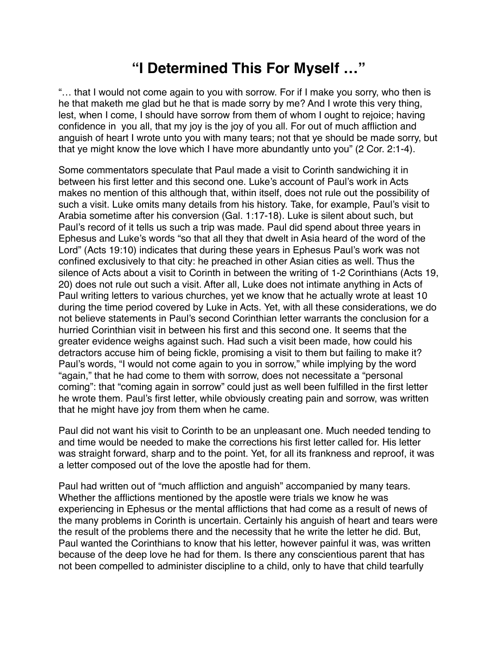## **"I Determined This For Myself …"**

"… that I would not come again to you with sorrow. For if I make you sorry, who then is he that maketh me glad but he that is made sorry by me? And I wrote this very thing, lest, when I come, I should have sorrow from them of whom I ought to rejoice; having confidence in you all, that my joy is the joy of you all. For out of much affliction and anguish of heart I wrote unto you with many tears; not that ye should be made sorry, but that ye might know the love which I have more abundantly unto you" (2 Cor. 2:1-4).

Some commentators speculate that Paul made a visit to Corinth sandwiching it in between his first letter and this second one. Luke's account of Paul's work in Acts makes no mention of this although that, within itself, does not rule out the possibility of such a visit. Luke omits many details from his history. Take, for example, Paul's visit to Arabia sometime after his conversion (Gal. 1:17-18). Luke is silent about such, but Paul's record of it tells us such a trip was made. Paul did spend about three years in Ephesus and Luke's words "so that all they that dwelt in Asia heard of the word of the Lord" (Acts 19:10) indicates that during these years in Ephesus Paul's work was not confined exclusively to that city: he preached in other Asian cities as well. Thus the silence of Acts about a visit to Corinth in between the writing of 1-2 Corinthians (Acts 19, 20) does not rule out such a visit. After all, Luke does not intimate anything in Acts of Paul writing letters to various churches, yet we know that he actually wrote at least 10 during the time period covered by Luke in Acts. Yet, with all these considerations, we do not believe statements in Paul's second Corinthian letter warrants the conclusion for a hurried Corinthian visit in between his first and this second one. It seems that the greater evidence weighs against such. Had such a visit been made, how could his detractors accuse him of being fickle, promising a visit to them but failing to make it? Paul's words, "I would not come again to you in sorrow," while implying by the word "again," that he had come to them with sorrow, does not necessitate a "personal coming": that "coming again in sorrow" could just as well been fulfilled in the first letter he wrote them. Paul's first letter, while obviously creating pain and sorrow, was written that he might have joy from them when he came.

Paul did not want his visit to Corinth to be an unpleasant one. Much needed tending to and time would be needed to make the corrections his first letter called for. His letter was straight forward, sharp and to the point. Yet, for all its frankness and reproof, it was a letter composed out of the love the apostle had for them.

Paul had written out of "much affliction and anguish" accompanied by many tears. Whether the afflictions mentioned by the apostle were trials we know he was experiencing in Ephesus or the mental afflictions that had come as a result of news of the many problems in Corinth is uncertain. Certainly his anguish of heart and tears were the result of the problems there and the necessity that he write the letter he did. But, Paul wanted the Corinthians to know that his letter, however painful it was, was written because of the deep love he had for them. Is there any conscientious parent that has not been compelled to administer discipline to a child, only to have that child tearfully